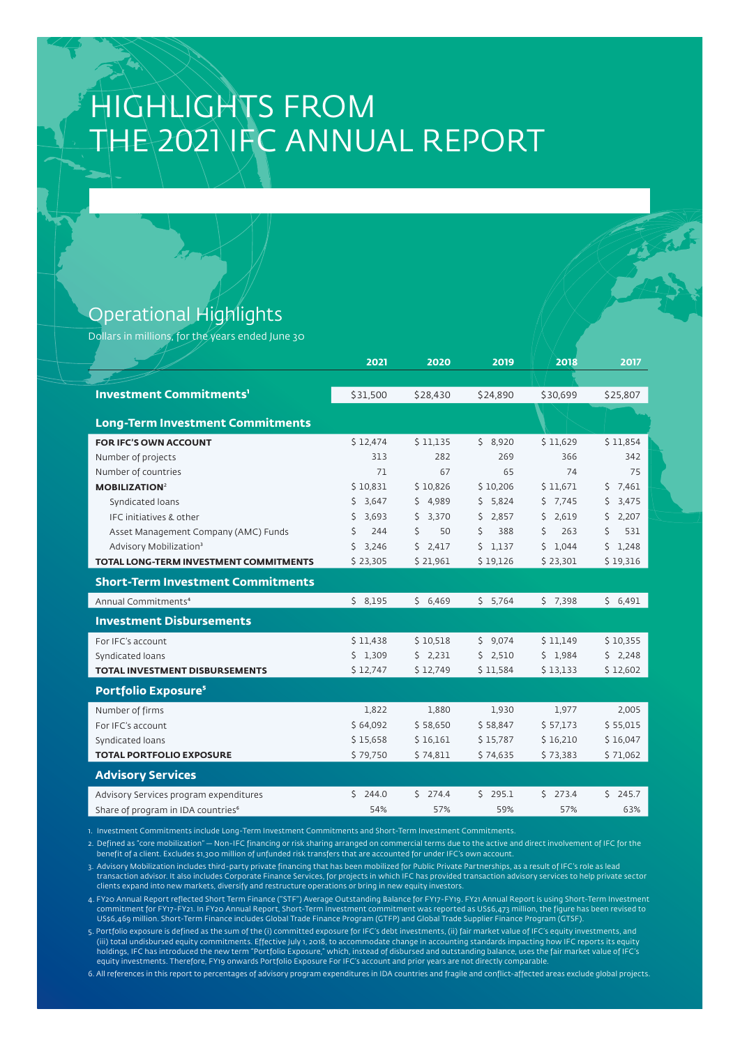# HIGHLIGHTS FROM THE 2021 IFC ANNUAL REPORT

### Operational Highlights

Dollars in millions, for the years ended June 30

|                                                | 2021        | 2020        | 2019         | 2018      | 2017        |
|------------------------------------------------|-------------|-------------|--------------|-----------|-------------|
|                                                |             |             |              |           |             |
| <b>Investment Commitments'</b>                 | \$31,500    | \$28,430    | \$24,890     | \$30,699  | \$25,807    |
|                                                |             |             |              |           |             |
| <b>Long-Term Investment Commitments</b>        |             |             |              |           |             |
| FOR IFC'S OWN ACCOUNT                          | \$12,474    | \$11,135    | \$8,920      | \$11,629  | \$11,854    |
| Number of projects                             | 313         | 282         | 269          | 366       | 342         |
| Number of countries                            | 71          | 67          | 65           | 74        | 75          |
| <b>MOBILIZATION<sup>2</sup></b>                | \$10,831    | \$10,826    | \$10,206     | \$11,671  | 57,461      |
| Syndicated loans                               | 3,647<br>Ŝ. | 4.989<br>\$ | 5.824<br>\$  | $5$ 7.745 | 3,475<br>Ŝ. |
| IFC initiatives & other                        | 3,693<br>\$ | 3,370<br>\$ | 2,857<br>\$  | \$2,619   | \$<br>2,207 |
| Asset Management Company (AMC) Funds           | Ś<br>244    | \$<br>50    | \$<br>388    | \$<br>263 | \$<br>531   |
| Advisory Mobilization <sup>3</sup>             | \$<br>3,246 | Ś.<br>2,417 | \$.<br>1,137 | \$1,044   | \$<br>1,248 |
| TOTAL LONG-TERM INVESTMENT COMMITMENTS         | \$23,305    | \$21,961    | \$19,126     | \$23,301  | \$19,316    |
| <b>Short-Term Investment Commitments</b>       |             |             |              |           |             |
| Annual Commitments <sup>4</sup>                | \$8,195     | \$6,469     | 5.764        | $5$ 7,398 | \$6,491     |
| <b>Investment Disbursements</b>                |             |             |              |           |             |
| For IFC's account                              | \$11,438    | \$10,518    | \$9,074      | \$11,149  | \$10,355    |
| Syndicated loans                               | \$1,309     | \$2,231     | \$2,510      | \$1,984   | 52,248      |
| TOTAL INVESTMENT DISBURSEMENTS                 | \$12,747    | \$12,749    | \$11,584     | \$13,133  | \$12,602    |
| <b>Portfolio Exposure<sup>5</sup></b>          |             |             |              |           |             |
| Number of firms                                | 1,822       | 1,880       | 1,930        | 1,977     | 2,005       |
| For IFC's account                              | \$64,092    | \$58,650    | \$58,847     | \$57,173  | \$55,015    |
| Syndicated loans                               | \$15,658    | \$16,161    | \$15,787     | \$16,210  | \$16,047    |
| <b>TOTAL PORTFOLIO EXPOSURE</b>                | \$79,750    | \$74,811    | \$74,635     | \$73,383  | \$71,062    |
| <b>Advisory Services</b>                       |             |             |              |           |             |
| Advisory Services program expenditures         | 5244.0      | $5$ 274.4   | Ŝ.<br>295.1  | $5$ 273.4 | $5$ 245.7   |
| Share of program in IDA countries <sup>6</sup> | 54%         | 57%         | 59%          | 57%       | 63%         |

1. Investment Commitments include Long-Term Investment Commitments and Short-Term Investment Commitments.

2. Defined as "core mobilization" — Non-IFC financing or risk sharing arranged on commercial terms due to the active and direct involvement of IFC for the benefit of a client. Excludes \$1,300 million of unfunded risk transfers that are accounted for under IFC's own account

3. Advisory Mobilization includes third-party private financing that has been mobilized for Public Private Partnerships, as a result of IFC's role as lead transaction advisor. It also includes Corporate Finance Services, for projects in which IFC has provided transaction advisory services to help private sector<br>clients expand into new markets, diversify and restructure opera

4. FY20 Annual Report reflected Short Term Finance ("STF") Average Outstanding Balance for FY17-FY19. FY21 Annual Report is using Short-Term Investment commitment for FY17-FY21. In FY20 Annual Report, Short-Term Investment commitment was reported as US\$6,473 million, the figure has been revised to<br>US\$6,469 million. Short-Term Finance includes Global Trade Finance Program

5. Portfolio exposure is defined as the sum of the (i) committed exposure for IFC's debt investments, (ii) fair market value of IFC's equity investments, and (iii) total undisbursed equity commitments. Effective July 1, 2018, to accommodate change in accounting standards impacting how IFC reports its equity holdings, IFC has introduced the new term "Portfolio Exposure," which, instead of disbursed and outstanding balance, uses the fair market value of IFC's equity investments. Therefore, FY19 onwards Portfolio Exposure For IFC's account and prior years are not directly comparable.

6. All references in this report to percentages of advisory program expenditures in IDA countries and fragile and conflict-affected areas exclude global projects.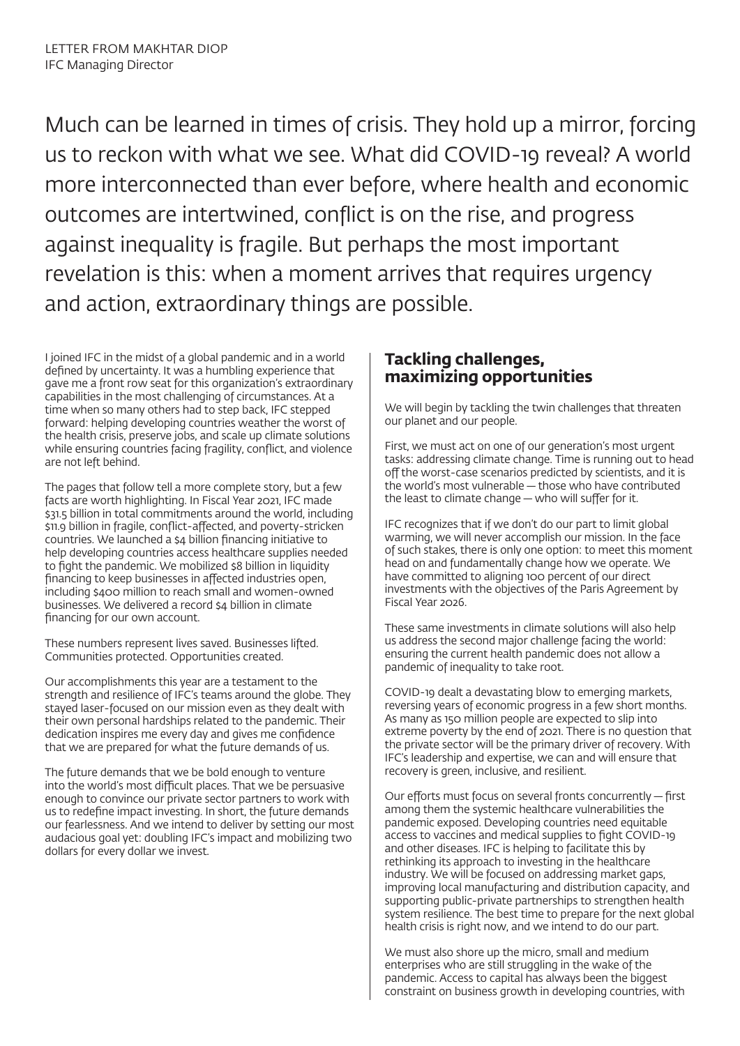Much can be learned in times of crisis. They hold up a mirror, forcing us to reckon with what we see. What did COVID-19 reveal? A world more interconnected than ever before, where health and economic outcomes are intertwined, conflict is on the rise, and progress against inequality is fragile. But perhaps the most important revelation is this: when a moment arrives that requires urgency and action, extraordinary things are possible.

I joined IFC in the midst of a global pandemic and in a world defined by uncertainty. It was a humbling experience that gave me a front row seat for this organization's extraordinary capabilities in the most challenging of circumstances. At a time when so many others had to step back, IFC stepped forward: helping developing countries weather the worst of the health crisis, preserve jobs, and scale up climate solutions while ensuring countries facing fragility, conflict, and violence are not left behind.

The pages that follow tell a more complete story, but a few facts are worth highlighting. In Fiscal Year 2021, IFC made \$31.5 billion in total commitments around the world, including \$11.9 billion in fragile, conflict-affected, and poverty-stricken countries. We launched a \$4 billion financing initiative to help developing countries access healthcare supplies needed to fight the pandemic. We mobilized \$8 billion in liquidity financing to keep businesses in affected industries open, including \$400 million to reach small and women-owned businesses. We delivered a record \$4 billion in climate financing for our own account.

These numbers represent lives saved. Businesses lifted. Communities protected. Opportunities created.

Our accomplishments this year are a testament to the strength and resilience of IFC's teams around the globe. They stayed laser-focused on our mission even as they dealt with their own personal hardships related to the pandemic. Their dedication inspires me every day and gives me confidence that we are prepared for what the future demands of us.

The future demands that we be bold enough to venture into the world's most difficult places. That we be persuasive enough to convince our private sector partners to work with us to redefine impact investing. In short, the future demands our fearlessness. And we intend to deliver by setting our most audacious goal yet: doubling IFC's impact and mobilizing two dollars for every dollar we invest.

### **Tackling challenges, maximizing opportunities**

We will begin by tackling the twin challenges that threaten our planet and our people.

First, we must act on one of our generation's most urgent tasks: addressing climate change. Time is running out to head off the worst-case scenarios predicted by scientists, and it is the world's most vulnerable — those who have contributed the least to climate change — who will suffer for it.

IFC recognizes that if we don't do our part to limit global warming, we will never accomplish our mission. In the face of such stakes, there is only one option: to meet this moment head on and fundamentally change how we operate. We have committed to aligning 100 percent of our direct investments with the objectives of the Paris Agreement by Fiscal Year 2026.

These same investments in climate solutions will also help us address the second major challenge facing the world: ensuring the current health pandemic does not allow a pandemic of inequality to take root.

COVID-19 dealt a devastating blow to emerging markets, reversing years of economic progress in a few short months. As many as 150 million people are expected to slip into extreme poverty by the end of 2021. There is no question that the private sector will be the primary driver of recovery. With IFC's leadership and expertise, we can and will ensure that recovery is green, inclusive, and resilient.

Our efforts must focus on several fronts concurrently — first among them the systemic healthcare vulnerabilities the pandemic exposed. Developing countries need equitable access to vaccines and medical supplies to fight COVID-19 and other diseases. IFC is helping to facilitate this by rethinking its approach to investing in the healthcare industry. We will be focused on addressing market gaps, improving local manufacturing and distribution capacity, and supporting public-private partnerships to strengthen health system resilience. The best time to prepare for the next global health crisis is right now, and we intend to do our part.

We must also shore up the micro, small and medium enterprises who are still struggling in the wake of the pandemic. Access to capital has always been the biggest constraint on business growth in developing countries, with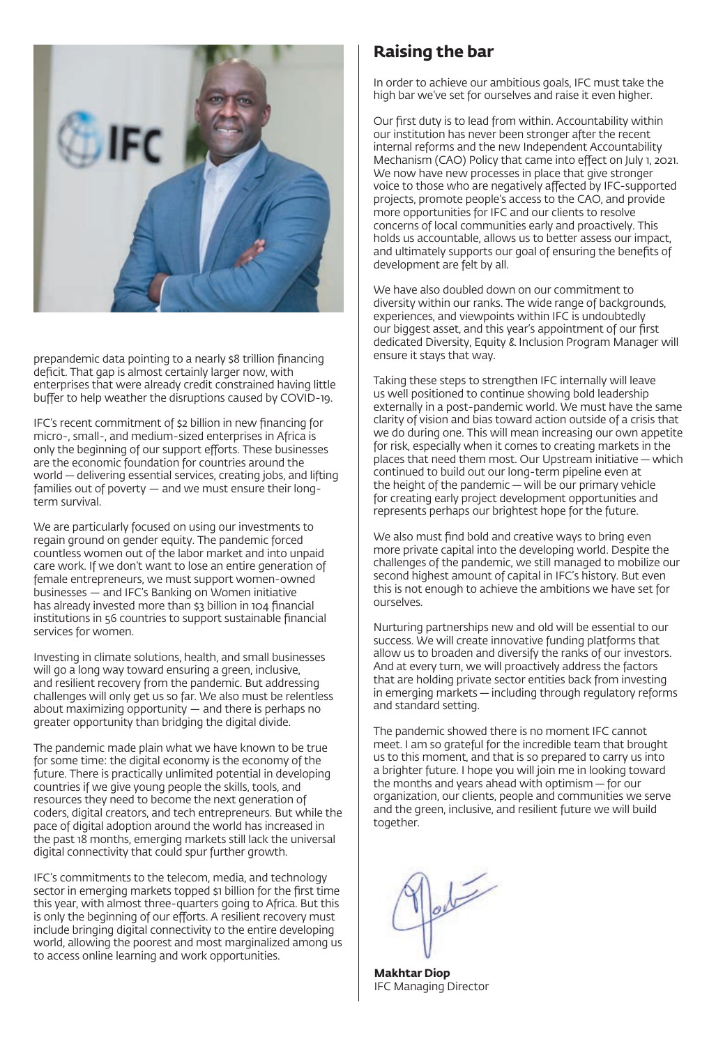

prepandemic data pointing to a nearly \$8 trillion financing deficit. That gap is almost certainly larger now, with enterprises that were already credit constrained having little buffer to help weather the disruptions caused by COVID-19.

IFC's recent commitment of \$2 billion in new financing for micro-, small-, and medium-sized enterprises in Africa is only the beginning of our support efforts. These businesses are the economic foundation for countries around the world — delivering essential services, creating jobs, and lifting families out of poverty — and we must ensure their longterm survival.

We are particularly focused on using our investments to regain ground on gender equity. The pandemic forced countless women out of the labor market and into unpaid care work. If we don't want to lose an entire generation of female entrepreneurs, we must support women-owned businesses — and IFC's Banking on Women initiative has already invested more than \$3 billion in 104 financial institutions in 56 countries to support sustainable financial services for women.

Investing in climate solutions, health, and small businesses will go a long way toward ensuring a green, inclusive, and resilient recovery from the pandemic. But addressing challenges will only get us so far. We also must be relentless about maximizing opportunity — and there is perhaps no greater opportunity than bridging the digital divide.

The pandemic made plain what we have known to be true for some time: the digital economy is the economy of the future. There is practically unlimited potential in developing countries if we give young people the skills, tools, and resources they need to become the next generation of coders, digital creators, and tech entrepreneurs. But while the pace of digital adoption around the world has increased in the past 18 months, emerging markets still lack the universal digital connectivity that could spur further growth.

IFC's commitments to the telecom, media, and technology sector in emerging markets topped \$1 billion for the first time this year, with almost three-quarters going to Africa. But this is only the beginning of our efforts. A resilient recovery must include bringing digital connectivity to the entire developing world, allowing the poorest and most marginalized among us to access online learning and work opportunities.

### **Raising the bar**

In order to achieve our ambitious goals, IFC must take the high bar we've set for ourselves and raise it even higher.

Our first duty is to lead from within. Accountability within our institution has never been stronger after the recent internal reforms and the new Independent Accountability Mechanism (CAO) Policy that came into effect on July 1, 2021. We now have new processes in place that give stronger voice to those who are negatively affected by IFC-supported projects, promote people's access to the CAO, and provide more opportunities for IFC and our clients to resolve concerns of local communities early and proactively. This holds us accountable, allows us to better assess our impact, and ultimately supports our goal of ensuring the benefits of development are felt by all.

We have also doubled down on our commitment to diversity within our ranks. The wide range of backgrounds, experiences, and viewpoints within IFC is undoubtedly our biggest asset, and this year's appointment of our first dedicated Diversity, Equity & Inclusion Program Manager will ensure it stays that way.

Taking these steps to strengthen IFC internally will leave us well positioned to continue showing bold leadership externally in a post-pandemic world. We must have the same clarity of vision and bias toward action outside of a crisis that we do during one. This will mean increasing our own appetite for risk, especially when it comes to creating markets in the places that need them most. Our Upstream initiative — which continued to build out our long-term pipeline even at the height of the pandemic — will be our primary vehicle for creating early project development opportunities and represents perhaps our brightest hope for the future.

We also must find bold and creative ways to bring even more private capital into the developing world. Despite the challenges of the pandemic, we still managed to mobilize our second highest amount of capital in IFC's history. But even this is not enough to achieve the ambitions we have set for ourselves.

Nurturing partnerships new and old will be essential to our success. We will create innovative funding platforms that allow us to broaden and diversify the ranks of our investors. And at every turn, we will proactively address the factors that are holding private sector entities back from investing in emerging markets — including through regulatory reforms and standard setting.

The pandemic showed there is no moment IFC cannot meet. I am so grateful for the incredible team that brought us to this moment, and that is so prepared to carry us into a brighter future. I hope you will join me in looking toward the months and years ahead with optimism — for our organization, our clients, people and communities we serve and the green, inclusive, and resilient future we will build together.

 $\sqrt{\frac{1}{2}}$ 

**Makhtar Diop** IFC Managing Director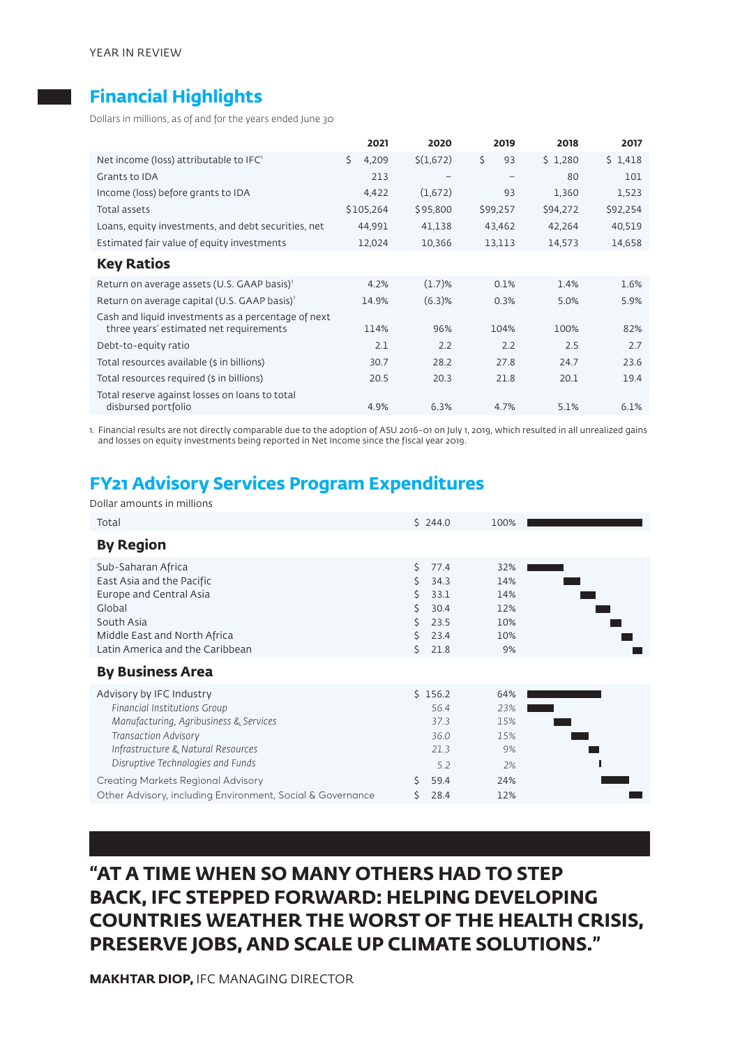## **Financial Highlights**

Dollars in millions, as of and for the years ended June 30

|                                                                       | 2021        | 2020      | 2019                     | 2018     | 2017     |
|-----------------------------------------------------------------------|-------------|-----------|--------------------------|----------|----------|
| Net income (loss) attributable to IFC'                                | Ŝ.<br>4.209 | \$(1,672) | \$<br>93                 | \$1,280  | \$1,418  |
| Grants to IDA                                                         | 213         |           | $\overline{\phantom{0}}$ | 80       | 101      |
| Income (loss) before grants to IDA                                    | 4,422       | (1,672)   | 93                       | 1,360    | 1,523    |
| Total assets                                                          | \$105,264   | \$95,800  | \$99,257                 | \$94,272 | \$92,254 |
| Loans, equity investments, and debt securities, net                   | 44,991      | 41,138    | 43,462                   | 42,264   | 40,519   |
| Estimated fair value of equity investments                            | 12,024      | 10,366    | 13,113                   | 14,573   | 14,658   |
| <b>Key Ratios</b>                                                     |             |           |                          |          |          |
| Return on average assets (U.S. GAAP basis) <sup>1</sup>               | 4.2%        | $(1.7)$ % | 0.1%                     | 1.4%     | 1.6%     |
| Return on average capital (U.S. GAAP basis) <sup>1</sup>              | 14.9%       | $(6.3)$ % | 0.3%                     | 5.0%     | 5.9%     |
| Cash and liquid investments as a percentage of next                   |             |           |                          |          |          |
| three years' estimated net requirements                               | 114%        | 96%       | 104%                     | 100%     | 82%      |
| Debt-to-equity ratio                                                  | 2.1         | 2.2       | 2.2                      | 2.5      | 2.7      |
| Total resources available (\$ in billions)                            | 30.7        | 28.2      | 27.8                     | 24.7     | 23.6     |
| Total resources required (\$ in billions)                             | 20.5        | 20.3      | 21.8                     | 20.1     | 19.4     |
| Total reserve against losses on loans to total<br>disbursed portfolio | 4.9%        | 6.3%      | 4.7%                     | 5.1%     | 6.1%     |

1. Financial results are not directly comparable due to the adoption of ASU 2016-01 on July 1, 2019, which resulted in all unrealized gains and losses on equity investments being reported in Net Income since the fiscal year 2019.

# **FY21 Advisory Services Program Expenditures**

Dollar amounts in millions

| Total                                                                                                                                                                                                                                                                                                            | \$244.0                                                                                     | 100%                                               |  |
|------------------------------------------------------------------------------------------------------------------------------------------------------------------------------------------------------------------------------------------------------------------------------------------------------------------|---------------------------------------------------------------------------------------------|----------------------------------------------------|--|
| <b>By Region</b>                                                                                                                                                                                                                                                                                                 |                                                                                             |                                                    |  |
| Sub-Saharan Africa<br>East Asia and the Pacific<br>Europe and Central Asia<br>Global<br>South Asia<br>Middle East and North Africa<br>Latin America and the Caribbean<br><b>By Business Area</b>                                                                                                                 | Š.<br>77.4<br>Ś.<br>34.3<br>Ś<br>33.1<br>Š.<br>30.4<br>Ś<br>23.5<br>23.4<br>ς<br>ς.<br>21.8 | 32%<br>14%<br>14%<br>12%<br>10%<br>10%<br>9%       |  |
| Advisory by IFC Industry<br>Financial Institutions Group<br>Manufacturing, Agribusiness & Services<br><b>Transaction Advisory</b><br>Infrastructure & Natural Resources<br>Disruptive Technologies and Funds<br>Creating Markets Regional Advisory<br>Other Advisory, including Environment, Social & Governance | \$156.2<br>56.4<br>37.3<br>36.0<br>21.3<br>5.2<br>Ŝ<br>59.4<br>28.4                         | 64%<br>23%<br>15%<br>15%<br>9%<br>2%<br>24%<br>12% |  |

# **"AT A TIME WHEN SO MANY OTHERS HAD TO STEP BACK, IFC STEPPED FORWARD: HELPING DEVELOPING COUNTRIES WEATHER THE WORST OF THE HEALTH CRISIS, PRESERVE JOBS, AND SCALE UP CLIMATE SOLUTIONS."**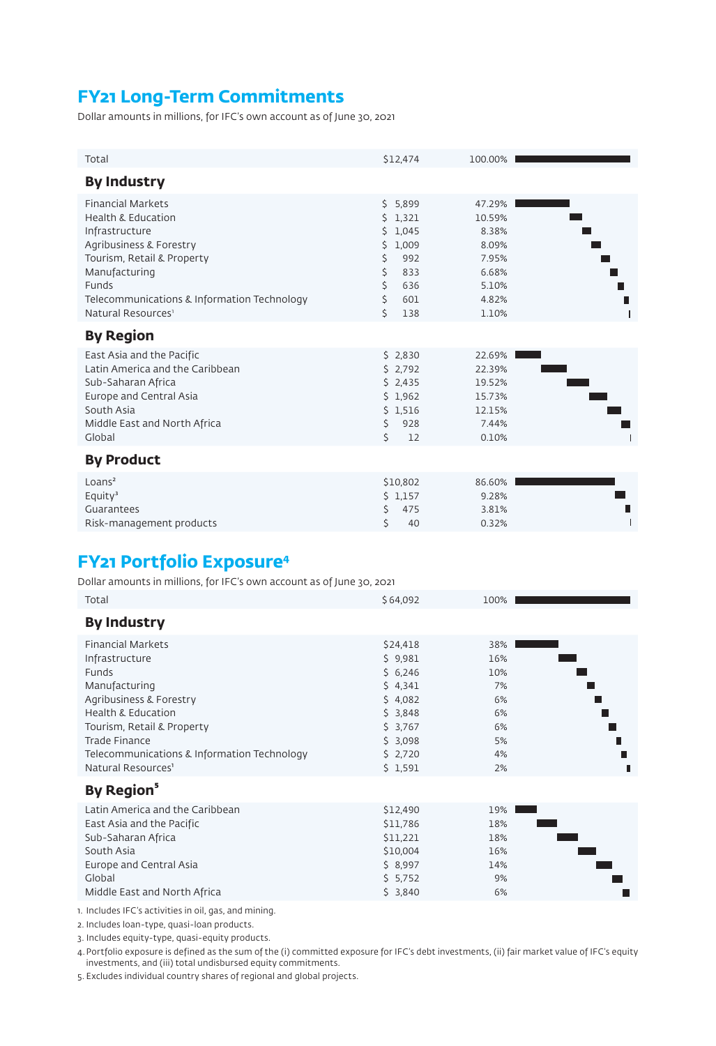# **FY21 Long-Term Commitments**

Dollar amounts in millions, for IFC's own account as of June 30, 2021

| Total                                                                                                                                                                                                                                           | \$12,474                                                                                                              | 100.00%                                                                         |  |
|-------------------------------------------------------------------------------------------------------------------------------------------------------------------------------------------------------------------------------------------------|-----------------------------------------------------------------------------------------------------------------------|---------------------------------------------------------------------------------|--|
| <b>By Industry</b>                                                                                                                                                                                                                              |                                                                                                                       |                                                                                 |  |
| <b>Financial Markets</b><br><b>Health &amp; Education</b><br>Infrastructure<br>Agribusiness & Forestry<br>Tourism, Retail & Property<br>Manufacturing<br>Funds<br>Telecommunications & Information Technology<br>Natural Resources <sup>1</sup> | \$5,899<br>1,321<br>Ś.<br>1,045<br>Ś.<br>1,009<br>Ś.<br>\$<br>992<br>\$<br>833<br>Ś.<br>636<br>\$<br>601<br>Ś.<br>138 | 47.29%<br>10.59%<br>8.38%<br>8.09%<br>7.95%<br>6.68%<br>5.10%<br>4.82%<br>1.10% |  |
| <b>By Region</b>                                                                                                                                                                                                                                |                                                                                                                       |                                                                                 |  |
| East Asia and the Pacific<br>Latin America and the Caribbean<br>Sub-Saharan Africa<br>Europe and Central Asia<br>South Asia<br>Middle East and North Africa<br>Global                                                                           | \$2,830<br>\$2,792<br>\$2,435<br>\$1,962<br>\$1,516<br>928<br>Ś.<br>Š.<br>12                                          | 22.69%<br>22.39%<br>19.52%<br>15.73%<br>12.15%<br>7.44%<br>0.10%                |  |
| <b>By Product</b>                                                                                                                                                                                                                               |                                                                                                                       |                                                                                 |  |
| Loans <sup>2</sup><br>Equity <sup>3</sup><br>Guarantees<br>Risk-management products                                                                                                                                                             | \$10,802<br>\$1,157<br>Ś<br>475<br>Ś<br>40                                                                            | 86.60%<br>9.28%<br>3.81%<br>0.32%                                               |  |

# **FY21 Portfolio Exposure4**

Dollar amounts in millions, for IFC's own account as of June 30, 2021

| Total                                       | \$64,092 | 100% |
|---------------------------------------------|----------|------|
| <b>By Industry</b>                          |          |      |
| <b>Financial Markets</b>                    | \$24,418 | 38%  |
| Infrastructure                              | \$9,981  | 16%  |
| Funds                                       | \$6,246  | 10%  |
| Manufacturing                               | \$4,341  | 7%   |
| Agribusiness & Forestry                     | \$4,082  | 6%   |
| <b>Health &amp; Education</b>               | \$3,848  | 6%   |
| Tourism, Retail & Property                  | \$3,767  | 6%   |
| <b>Trade Finance</b>                        | \$3,098  | 5%   |
| Telecommunications & Information Technology | \$2,720  | 4%   |
| Natural Resources <sup>1</sup>              | \$1,591  | 2%   |
| By Region <sup>5</sup>                      |          |      |
| Latin America and the Caribbean             | \$12,490 | 19%  |
| East Asia and the Pacific                   | \$11,786 | 18%  |
| Sub-Saharan Africa                          | \$11,221 | 18%  |
| South Asia                                  | \$10,004 | 16%  |
| Europe and Central Asia                     | \$8,997  | 14%  |
| Global                                      | 5.752    | 9%   |
| Middle East and North Africa                | \$3,840  | 6%   |

1. Includes IFC's activities in oil, gas, and mining.

2. Includes loan-type, quasi-loan products.

3. Includes equity-type, quasi-equity products.

4.Portfolio exposure is defined as the sum of the (i) committed exposure for IFC's debt investments, (ii) fair market value of IFC's equity investments, and (iii) total undisbursed equity commitments.

5. Excludes individual country shares of regional and global projects.